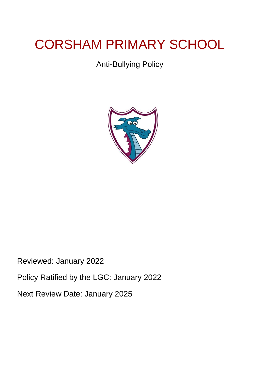# CORSHAM PRIMARY SCHOOL

# Anti-Bullying Policy



Reviewed: January 2022

Policy Ratified by the LGC: January 2022

Next Review Date: January 2025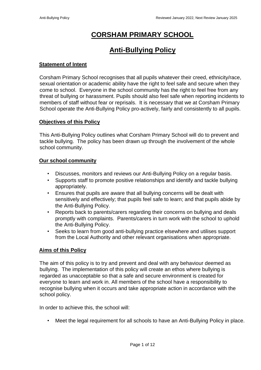## **CORSHAM PRIMARY SCHOOL**

### **Anti-Bullying Policy**

#### **Statement of Intent**

Corsham Primary School recognises that all pupils whatever their creed, ethnicity/race, sexual orientation or academic ability have the right to feel safe and secure when they come to school. Everyone in the school community has the right to feel free from any threat of bullying or harassment. Pupils should also feel safe when reporting incidents to members of staff without fear or reprisals. It is necessary that we at Corsham Primary School operate the Anti-Bullying Policy pro-actively, fairly and consistently to all pupils.

#### **Objectives of this Policy**

This Anti-Bullying Policy outlines what Corsham Primary School will do to prevent and tackle bullying. The policy has been drawn up through the involvement of the whole school community.

#### **Our school community**

- Discusses, monitors and reviews our Anti-Bullying Policy on a regular basis.
- Supports staff to promote positive relationships and identify and tackle bullying appropriately.
- Ensures that pupils are aware that all bullying concerns will be dealt with sensitively and effectively; that pupils feel safe to learn; and that pupils abide by the Anti-Bullying Policy.
- Reports back to parents/carers regarding their concerns on bullying and deals promptly with complaints. Parents/carers in turn work with the school to uphold the Anti-Bullying Policy.
- Seeks to learn from good anti-bullying practice elsewhere and utilises support from the Local Authority and other relevant organisations when appropriate.

#### **Aims of this Policy**

The aim of this policy is to try and prevent and deal with any behaviour deemed as bullying. The implementation of this policy will create an ethos where bullying is regarded as unacceptable so that a safe and secure environment is created for everyone to learn and work in. All members of the school have a responsibility to recognise bullying when it occurs and take appropriate action in accordance with the school policy.

In order to achieve this, the school will:

• Meet the legal requirement for all schools to have an Anti-Bullying Policy in place.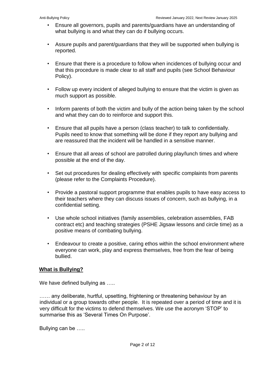- Ensure all governors, pupils and parents/guardians have an understanding of what bullying is and what they can do if bullying occurs.
- Assure pupils and parent/guardians that they will be supported when bullying is reported.
- Ensure that there is a procedure to follow when incidences of bullying occur and that this procedure is made clear to all staff and pupils (see School Behaviour Policy).
- Follow up every incident of alleged bullying to ensure that the victim is given as much support as possible.
- Inform parents of both the victim and bully of the action being taken by the school and what they can do to reinforce and support this.
- Ensure that all pupils have a person (class teacher) to talk to confidentially. Pupils need to know that something will be done if they report any bullying and are reassured that the incident will be handled in a sensitive manner.
- Ensure that all areas of school are patrolled during play/lunch times and where possible at the end of the day.
- Set out procedures for dealing effectively with specific complaints from parents (please refer to the Complaints Procedure).
- Provide a pastoral support programme that enables pupils to have easy access to their teachers where they can discuss issues of concern, such as bullying, in a confidential setting.
- Use whole school initiatives (family assemblies, celebration assemblies, FAB contract etc) and teaching strategies (PSHE Jigsaw lessons and circle time) as a positive means of combating bullying.
- Endeavour to create a positive, caring ethos within the school environment where everyone can work, play and express themselves, free from the fear of being bullied.

#### **What is Bullying?**

We have defined bullying as .....

...... any deliberate, hurtful, upsetting, frightening or threatening behaviour by an individual or a group towards other people. It is repeated over a period of time and it is very difficult for the victims to defend themselves. We use the acronym 'STOP' to summarise this as 'Several Times On Purpose'.

Bullying can be …..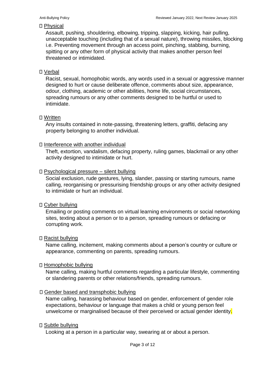#### □ Physical

Assault, pushing, shouldering, elbowing, tripping, slapping, kicking, hair pulling, unacceptable touching (including that of a sexual nature), throwing missiles, blocking i.e. Preventing movement through an access point, pinching, stabbing, burning, spitting or any other form of physical activity that makes another person feel threatened or intimidated.

#### Verbal

Racist, sexual, homophobic words, any words used in a sexual or aggressive manner designed to hurt or cause deliberate offence, comments about size, appearance, odour, clothing, academic or other abilities, home life, social circumstances, spreading rumours or any other comments designed to be hurtful or used to intimidate.

#### □ Written

Any insults contained in note-passing, threatening letters, graffiti, defacing any property belonging to another individual.

#### $\Box$  Interference with another individual

Theft, extortion, vandalism, defacing property, ruling games, blackmail or any other activity designed to intimidate or hurt.

#### $\square$  Psychological pressure – silent bullying

Social exclusion, rude gestures, lying, slander, passing or starting rumours, name calling, reorganising or pressurising friendship groups or any other activity designed to intimidate or hurt an individual.

#### Cyber bullying

Emailing or posting comments on virtual learning environments or social networking sites, texting about a person or to a person, spreading rumours or defacing or corrupting work.

#### □ Racist bullying

Name calling, incitement, making comments about a person's country or culture or appearance, commenting on parents, spreading rumours.

#### Homophobic bullying

Name calling, making hurtful comments regarding a particular lifestyle, commenting or slandering parents or other relations/friends, spreading rumours.

#### Gender based and transphobic bullying

Name calling, harassing behaviour based on gender, enforcement of gender role expectations, behaviour or language that makes a child or young person feel unwelcome or marginalised because of their perceived or actual gender identity.

#### Subtle bullying

Looking at a person in a particular way, swearing at or about a person.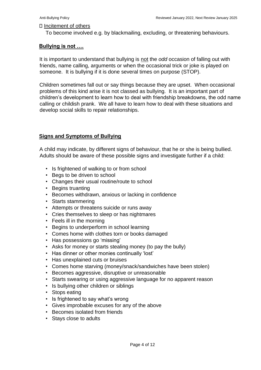#### $\Box$  Incitement of others

To become involved e.g. by blackmailing, excluding, or threatening behaviours.

#### **Bullying is not ….**

It is important to understand that bullying is not the *odd* occasion of falling out with friends, name calling, arguments or when the occasional trick or joke is played on someone. It is bullying if it is done several times on purpose (STOP).

Children sometimes fall out or say things because they are upset. When occasional problems of this kind arise it is not classed as bullying. It is an important part of children's development to learn how to deal with friendship breakdowns, the odd name calling or childish prank. We all have to learn how to deal with these situations and develop social skills to repair relationships.

#### **Signs and Symptoms of Bullying**

A child may indicate, by different signs of behaviour, that he or she is being bullied. Adults should be aware of these possible signs and investigate further if a child:

- Is frightened of walking to or from school
- Begs to be driven to school
- Changes their usual routine/route to school
- Begins truanting
- Becomes withdrawn, anxious or lacking in confidence
- Starts stammering
- Attempts or threatens suicide or runs away
- Cries themselves to sleep or has nightmares
- Feels ill in the morning
- Begins to underperform in school learning
- Comes home with clothes torn or books damaged
- Has possessions go 'missing'
- Asks for money or starts stealing money (to pay the bully)
- Has dinner or other monies continually 'lost'
- Has unexplained cuts or bruises
- Comes home starving (money/snack/sandwiches have been stolen)
- Becomes aggressive, disruptive or unreasonable
- Starts swearing or using aggressive language for no apparent reason
- Is bullying other children or siblings
- Stops eating
- Is frightened to say what's wrong
- Gives improbable excuses for any of the above
- Becomes isolated from friends
- Stays close to adults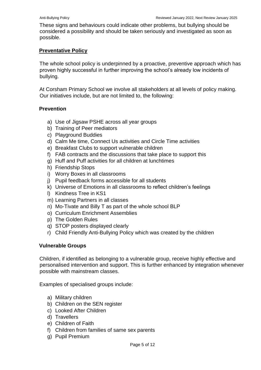These signs and behaviours could indicate other problems, but bullying should be considered a possibility and should be taken seriously and investigated as soon as possible.

#### **Preventative Policy**

The whole school policy is underpinned by a proactive, preventive approach which has proven highly successful in further improving the school's already low incidents of bullying.

At Corsham Primary School we involve all stakeholders at all levels of policy making. Our initiatives include, but are not limited to, the following:

#### **Prevention**

- a) Use of Jigsaw PSHE across all year groups
- b) Training of Peer mediators
- c) Playground Buddies
- d) Calm Me time, Connect Us activities and Circle Time activities
- e) Breakfast Clubs to support vulnerable children
- f) FAB contracts and the discussions that take place to support this
- g) Huff and Puff activities for all children at lunchtimes
- h) Friendship Stops
- i) Worry Boxes in all classrooms
- j) Pupil feedback forms accessible for all students
- k) Universe of Emotions in all classrooms to reflect children's feelings
- l) Kindness Tree in KS1
- m) Learning Partners in all classes
- n) Mo-Tivate and Billy T as part of the whole school BLP
- o) Curriculum Enrichment Assemblies
- p) The Golden Rules
- q) STOP posters displayed clearly
- r) Child Friendly Anti-Bullying Policy which was created by the children

#### **Vulnerable Groups**

Children, if identified as belonging to a vulnerable group, receive highly effective and personalised intervention and support. This is further enhanced by integration whenever possible with mainstream classes.

Examples of specialised groups include:

- a) Military children
- b) Children on the SEN register
- c) Looked After Children
- d) Travellers
- e) Children of Faith
- f) Children from families of same sex parents
- g) Pupil Premium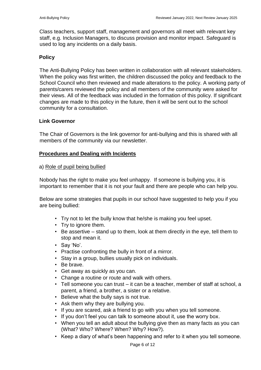Class teachers, support staff, management and governors all meet with relevant key staff, e.g. Inclusion Managers, to discuss provision and monitor impact. Safeguard is used to log any incidents on a daily basis.

#### **Policy**

The Anti-Bullying Policy has been written in collaboration with all relevant stakeholders. When the policy was first written, the children discussed the policy and feedback to the School Council who then reviewed and made alterations to the policy. A working party of parents/carers reviewed the policy and all members of the community were asked for their views. All of the feedback was included in the formation of this policy. If significant changes are made to this policy in the future, then it will be sent out to the school community for a consultation.

#### **Link Governor**

The Chair of Governors is the link governor for anti-bullying and this is shared with all members of the community via our newsletter.

#### **Procedures and Dealing with Incidents**

#### a) Role of pupil being bullied

Nobody has the right to make you feel unhappy. If someone is bullying you, it is important to remember that it is not your fault and there are people who can help you.

Below are some strategies that pupils in our school have suggested to help you if you are being bullied:

- Try not to let the bully know that he/she is making you feel upset.
- Try to ignore them.
- Be assertive stand up to them, look at them directly in the eye, tell them to stop and mean it.
- Say 'No'.
- Practise confronting the bully in front of a mirror.
- Stay in a group, bullies usually pick on individuals.
- Be brave.
- Get away as quickly as you can.
- Change a routine or route and walk with others.
- Tell someone you can trust it can be a teacher, member of staff at school, a parent, a friend, a brother, a sister or a relative.
- Believe what the bully says is not true.
- Ask them why they are bullying you.
- If you are scared, ask a friend to go with you when you tell someone.
- If you don't feel you can talk to someone about it, use the worry box.
- When you tell an adult about the bullying give then as many facts as you can (What? Who? Where? When? Why? How?).
- Keep a diary of what's been happening and refer to it when you tell someone.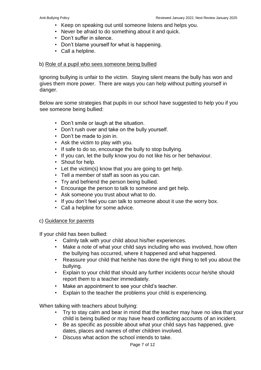- Keep on speaking out until someone listens and helps you.
- Never be afraid to do something about it and quick.
- Don't suffer in silence.
- Don't blame yourself for what is happening.
- Call a helpline.

#### b) Role of a pupil who sees someone being bullied

Ignoring bullying is unfair to the victim. Staying silent means the bully has won and gives them more power. There are ways you can help without putting yourself in danger.

Below are some strategies that pupils in our school have suggested to help you if you see someone being bullied:

- Don't smile or laugh at the situation.
- Don't rush over and take on the bully yourself.
- Don't be made to join in.
- Ask the victim to play with you.
- If safe to do so, encourage the bully to stop bullying.
- If you can, let the bully know you do not like his or her behaviour.
- Shout for help.
- Let the victim(s) know that you are going to get help.
- Tell a member of staff as soon as you can.
- Try and befriend the person being bullied.
- Encourage the person to talk to someone and get help.
- Ask someone you trust about what to do.
- If you don't feel you can talk to someone about it use the worry box.
- Call a helpline for some advice.

#### c) Guidance for parents

If your child has been bullied:

- Calmly talk with your child about his/her experiences.
- Make a note of what your child says including who was involved, how often the bullying has occurred, where it happened and what happened.
- Reassure your child that he/she has done the right thing to tell you about the bullying.
- Explain to your child that should any further incidents occur he/she should report them to a teacher immediately.
- Make an appointment to see your child's teacher.
- Explain to the teacher the problems your child is experiencing.

When talking with teachers about bullying:

- Try to stay calm and bear in mind that the teacher may have no idea that your child is being bullied or may have heard conflicting accounts of an incident.
- Be as specific as possible about what your child says has happened, give dates, places and names of other children involved.
- Discuss what action the school intends to take.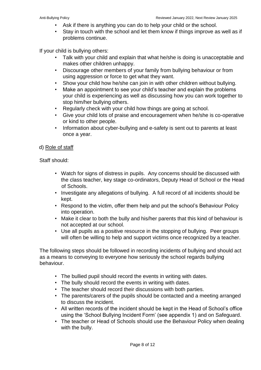- Ask if there is anything you can do to help your child or the school.
- Stay in touch with the school and let them know if things improve as well as if problems continue.

If your child is bullying others:

- Talk with your child and explain that what he/she is doing is unacceptable and makes other children unhappy.
- Discourage other members of your family from bullying behaviour or from using aggression or force to get what they want.
- Show your child how he/she can join in with other children without bullying.
- Make an appointment to see your child's teacher and explain the problems your child is experiencing as well as discussing how you can work together to stop him/her bullying others.
- Regularly check with your child how things are going at school.
- Give your child lots of praise and encouragement when he/she is co-operative or kind to other people.
- Information about cyber-bullying and e-safety is sent out to parents at least once a year.

#### d) Role of staff

Staff should:

- Watch for signs of distress in pupils. Any concerns should be discussed with the class teacher, key stage co-ordinators, Deputy Head of School or the Head of Schools.
- Investigate any allegations of bullying. A full record of all incidents should be kept.
- Respond to the victim, offer them help and put the school's Behaviour Policy into operation.
- Make it clear to both the bully and his/her parents that this kind of behaviour is not accepted at our school.
- Use all pupils as a positive resource in the stopping of bullying. Peer groups will often be willing to help and support victims once recognized by a teacher.

The following steps should be followed in recording incidents of bullying and should act as a means to conveying to everyone how seriously the school regards bullying behaviour.

- The bullied pupil should record the events in writing with dates.
- The bully should record the events in writing with dates.
- The teacher should record their discussions with both parties.
- The parents/carers of the pupils should be contacted and a meeting arranged to discuss the incident.
- All written records of the incident should be kept in the Head of School's office using the 'School Bullying Incident Form' (see appendix 1) and on Safeguard.
- The teacher or Head of Schools should use the Behaviour Policy when dealing with the bully.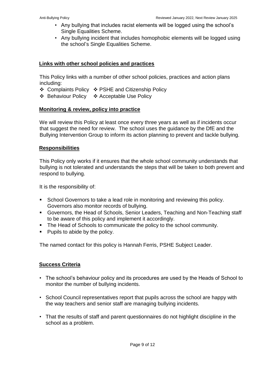- Any bullying that includes racist elements will be logged using the school's Single Equalities Scheme.
- Any bullying incident that includes homophobic elements will be logged using the school's Single Equalities Scheme.

#### **Links with other school policies and practices**

This Policy links with a number of other school policies, practices and action plans including:

- ❖ Complaints Policy ❖ PSHE and Citizenship Policy
- ❖ Behaviour Policy ❖ Acceptable Use Policy

#### **Monitoring & review, policy into practice**

We will review this Policy at least once every three years as well as if incidents occur that suggest the need for review. The school uses the guidance by the DfE and the Bullying Intervention Group to inform its action planning to prevent and tackle bullying.

#### **Responsibilities**

This Policy only works if it ensures that the whole school community understands that bullying is not tolerated and understands the steps that will be taken to both prevent and respond to bullying.

It is the responsibility of:

- School Governors to take a lead role in monitoring and reviewing this policy. Governors also monitor records of bullying.
- Governors, the Head of Schools, Senior Leaders, Teaching and Non-Teaching staff to be aware of this policy and implement it accordingly.
- The Head of Schools to communicate the policy to the school community.
- Pupils to abide by the policy.

The named contact for this policy is Hannah Ferris, PSHE Subject Leader.

#### **Success Criteria**

- The school's behaviour policy and its procedures are used by the Heads of School to monitor the number of bullying incidents.
- School Council representatives report that pupils across the school are happy with the way teachers and senior staff are managing bullying incidents.
- That the results of staff and parent questionnaires do not highlight discipline in the school as a problem.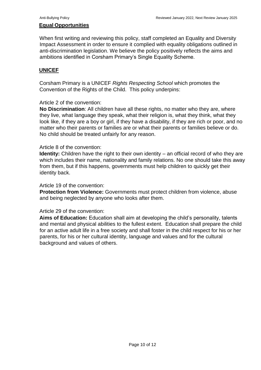#### **Equal Opportunities**

When first writing and reviewing this policy, staff completed an Equality and Diversity Impact Assessment in order to ensure it complied with equality obligations outlined in anti-discrimination legislation. We believe the policy positively reflects the aims and ambitions identified in Corsham Primary's Single Equality Scheme.

#### **UNICEF**

Corsham Primary is a UNICEF *Rights Respecting School* which promotes the Convention of the Rights of the Child. This policy underpins:

#### Article 2 of the convention:

**No Discrimination**: All children have all these rights, no matter who they are, where they live, what language they speak, what their religion is, what they think, what they look like, if they are a boy or girl, if they have a disability, if they are rich or poor, and no matter who their parents or families are or what their parents or families believe or do. No child should be treated unfairly for any reason.

#### Article 8 of the convention:

**Identity:** Children have the right to their own identity – an official record of who they are which includes their name, nationality and family relations. No one should take this away from them, but if this happens, governments must help children to quickly get their identity back.

#### Article 19 of the convention:

**Protection from Violence:** Governments must protect children from violence, abuse and being neglected by anyone who looks after them.

#### Article 29 of the convention:

**Aims of Education:** Education shall aim at developing the child's personality, talents and mental and physical abilities to the fullest extent. Education shall prepare the child for an active adult life in a free society and shall foster in the child respect for his or her parents, for his or her cultural identity, language and values and for the cultural background and values of others.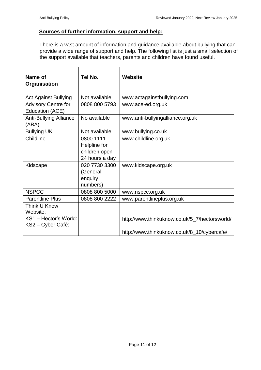#### **Sources of further information, support and help:**

There is a vast amount of information and guidance available about bullying that can provide a wide range of support and help. The following list is just a small selection of the support available that teachers, parents and children have found useful.

| Name of<br>Organisation                                                | Tel No.                                                      | <b>Website</b>                                                                               |
|------------------------------------------------------------------------|--------------------------------------------------------------|----------------------------------------------------------------------------------------------|
| <b>Act Against Bullying</b>                                            | Not available                                                | www.actagainstbullying.com                                                                   |
| <b>Advisory Centre for</b><br>Education (ACE)                          | 0808 800 5793                                                | www.ace-ed.org.uk                                                                            |
| <b>Anti-Bullying Alliance</b><br>(ABA)                                 | No available                                                 | www.anti-bullyingalliance.org.uk                                                             |
| <b>Bullying UK</b>                                                     | Not available                                                | www.bullying.co.uk                                                                           |
| Childline                                                              | 0800 1111<br>Helpline for<br>children open<br>24 hours a day | www.childline.org.uk                                                                         |
| Kidscape                                                               | 020 7730 3300<br>(General<br>enquiry<br>numbers)             | www.kidscape.org.uk                                                                          |
| <b>NSPCC</b>                                                           | 0808 800 5000                                                | www.nspcc.org.uk                                                                             |
| <b>Parentline Plus</b>                                                 | 0808 800 2222                                                | www.parentlineplus.org.uk                                                                    |
| Think U Know<br>Website:<br>KS1 - Hector's World:<br>KS2 – Cyber Café: |                                                              | http://www.thinkuknow.co.uk/5_7/hectorsworld/<br>http://www.thinkuknow.co.uk/8_10/cybercafe/ |